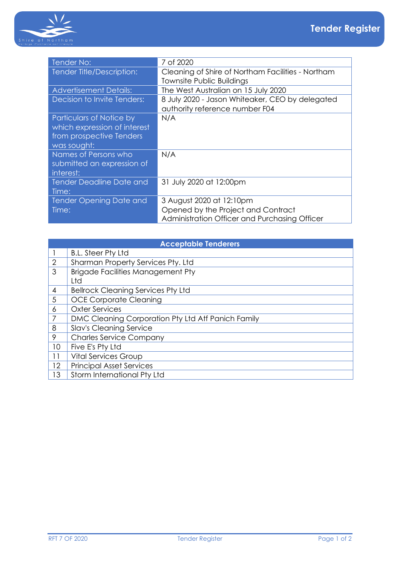

| Tender No:                      | 7 of 2020                                         |
|---------------------------------|---------------------------------------------------|
| Tender Title/Description:       | Cleaning of Shire of Northam Facilities - Northam |
|                                 | Townsite Public Buildings                         |
| <b>Advertisement Details:</b>   | The West Australian on 15 July 2020               |
| Decision to Invite Tenders:     | 8 July 2020 - Jason Whiteaker, CEO by delegated   |
|                                 | authority reference number F04                    |
| Particulars of Notice by        | N/A                                               |
| which expression of interest    |                                                   |
| from prospective Tenders        |                                                   |
| was sought:                     |                                                   |
| Names of Persons who            | N/A                                               |
| submitted an expression of      |                                                   |
| interest:                       |                                                   |
| <b>Tender Deadline Date and</b> | 31 July 2020 at 12:00pm                           |
| Time:                           |                                                   |
| <b>Tender Opening Date and</b>  | 3 August 2020 at 12:10pm                          |
| Time:                           | Opened by the Project and Contract                |
|                                 | Administration Officer and Purchasing Officer     |

| <b>Acceptable Tenderers</b> |                                                    |  |
|-----------------------------|----------------------------------------------------|--|
|                             | <b>B.L. Steer Pty Ltd</b>                          |  |
| 2                           | Sharman Property Services Pty. Ltd                 |  |
| 3                           | <b>Brigade Facilities Management Pty</b>           |  |
|                             | Ltd                                                |  |
| $\overline{4}$              | <b>Bellrock Cleaning Services Pty Ltd</b>          |  |
| 5                           | <b>OCE Corporate Cleaning</b>                      |  |
| 6                           | <b>Oxter Services</b>                              |  |
| 7                           | DMC Cleaning Corporation Pty Ltd Atf Panich Family |  |
| 8                           | <b>Slav's Cleaning Service</b>                     |  |
| 9                           | <b>Charles Service Company</b>                     |  |
| 10                          | Five E's Pty Ltd                                   |  |
| 11                          | <b>Vital Services Group</b>                        |  |
| 12                          | <b>Principal Asset Services</b>                    |  |
| 13                          | Storm International Pty Ltd                        |  |